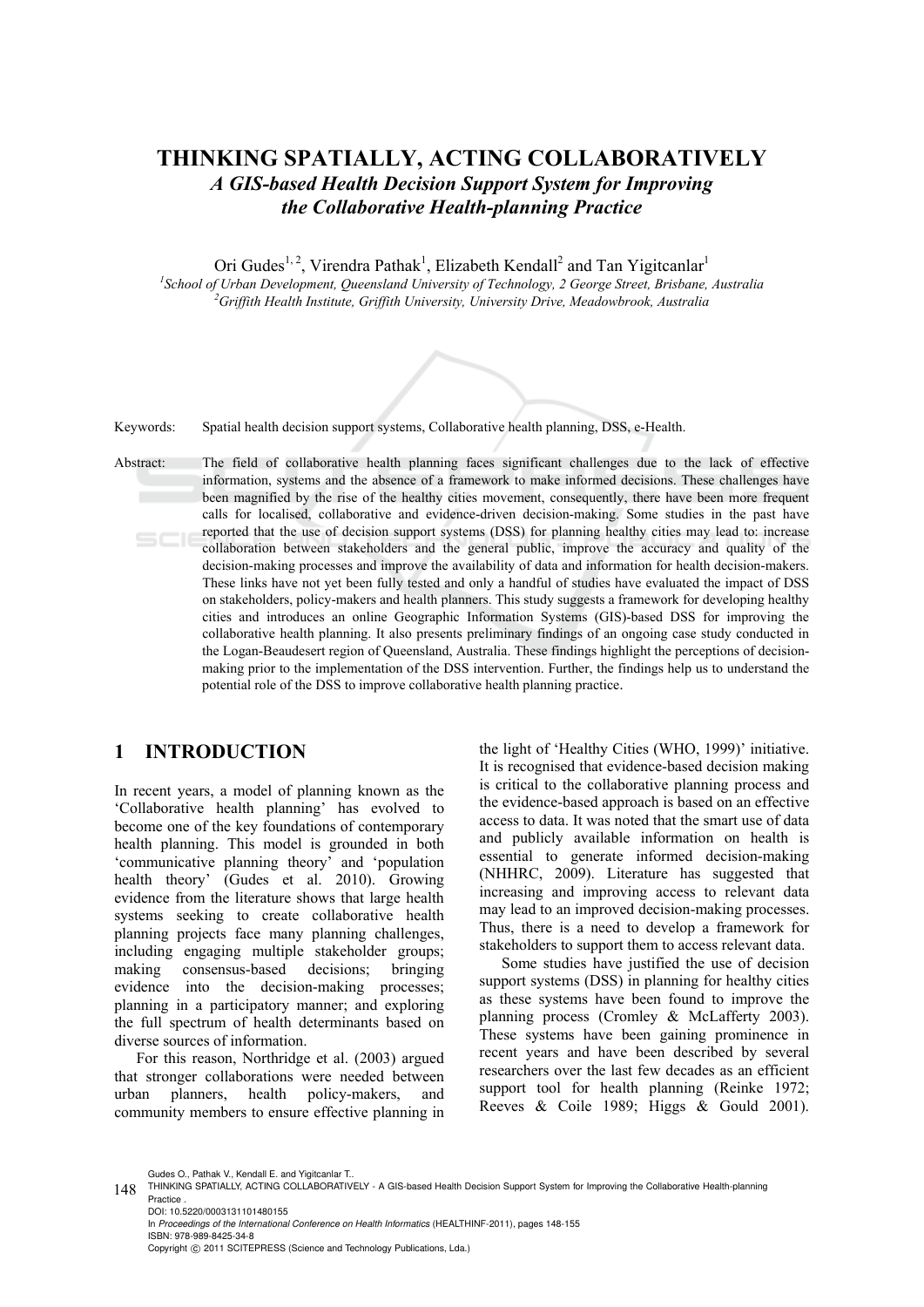## **THINKING SPATIALLY, ACTING COLLABORATIVELY**  *A GIS-based Health Decision Support System for Improving the Collaborative Health-planning Practice*

Ori Gudes<sup>1, 2</sup>, Virendra Pathak<sup>1</sup>, Elizabeth Kendall<sup>2</sup> and Tan Yigitcanlar<sup>1</sup> <sup>1</sup> School of Urban Development, Queensland University of Technology, 2 George Street, Brisbane, Australia <sup>2</sup>Cuiffith Haalth Institute, Cuiffith University University Prive, Maadauhuaak, Australia *Griffith Health Institute, Griffith University, University Drive, Meadowbrook, Australia* 

Keywords: Spatial health decision support systems, Collaborative health planning, DSS, e-Health.

Abstract: The field of collaborative health planning faces significant challenges due to the lack of effective information, systems and the absence of a framework to make informed decisions. These challenges have been magnified by the rise of the healthy cities movement, consequently, there have been more frequent calls for localised, collaborative and evidence-driven decision-making. Some studies in the past have reported that the use of decision support systems (DSS) for planning healthy cities may lead to: increase  $SCI($ collaboration between stakeholders and the general public, improve the accuracy and quality of the decision-making processes and improve the availability of data and information for health decision-makers. These links have not yet been fully tested and only a handful of studies have evaluated the impact of DSS on stakeholders, policy-makers and health planners. This study suggests a framework for developing healthy cities and introduces an online Geographic Information Systems (GIS)-based DSS for improving the collaborative health planning. It also presents preliminary findings of an ongoing case study conducted in the Logan-Beaudesert region of Queensland, Australia. These findings highlight the perceptions of decisionmaking prior to the implementation of the DSS intervention. Further, the findings help us to understand the potential role of the DSS to improve collaborative health planning practice.

### **1 INTRODUCTION**

In recent years, a model of planning known as the 'Collaborative health planning' has evolved to become one of the key foundations of contemporary health planning. This model is grounded in both 'communicative planning theory' and 'population health theory' (Gudes et al. 2010). Growing evidence from the literature shows that large health systems seeking to create collaborative health planning projects face many planning challenges, including engaging multiple stakeholder groups; making consensus-based decisions; bringing evidence into the decision-making processes; planning in a participatory manner; and exploring the full spectrum of health determinants based on diverse sources of information.

For this reason, Northridge et al. (2003) argued that stronger collaborations were needed between urban planners, health policy-makers, and community members to ensure effective planning in

the light of 'Healthy Cities (WHO, 1999)' initiative. It is recognised that evidence-based decision making is critical to the collaborative planning process and the evidence-based approach is based on an effective access to data. It was noted that the smart use of data and publicly available information on health is essential to generate informed decision-making (NHHRC, 2009). Literature has suggested that increasing and improving access to relevant data may lead to an improved decision-making processes. Thus, there is a need to develop a framework for stakeholders to support them to access relevant data.

Some studies have justified the use of decision support systems (DSS) in planning for healthy cities as these systems have been found to improve the planning process (Cromley & McLafferty 2003). These systems have been gaining prominence in recent years and have been described by several researchers over the last few decades as an efficient support tool for health planning (Reinke 1972; Reeves & Coile 1989; Higgs & Gould 2001).

Gudes O., Pathak V., Kendall E. and Yigitcanlar T.

In *Proceedings of the International Conference on Health Informatics* (HEALTHINF-2011), pages 148-155 ISBN: 978-989-8425-34-8 Copyright © 2011 SCITEPRESS (Science and Technology Publications, Lda.)

<sup>148</sup> THINKING SPATIALLY, ACTING COLLABORATIVELY - A GIS-based Health Decision Support System for Improving the Collaborative Health-planning Practice . DOI: 10.5220/0003131101480155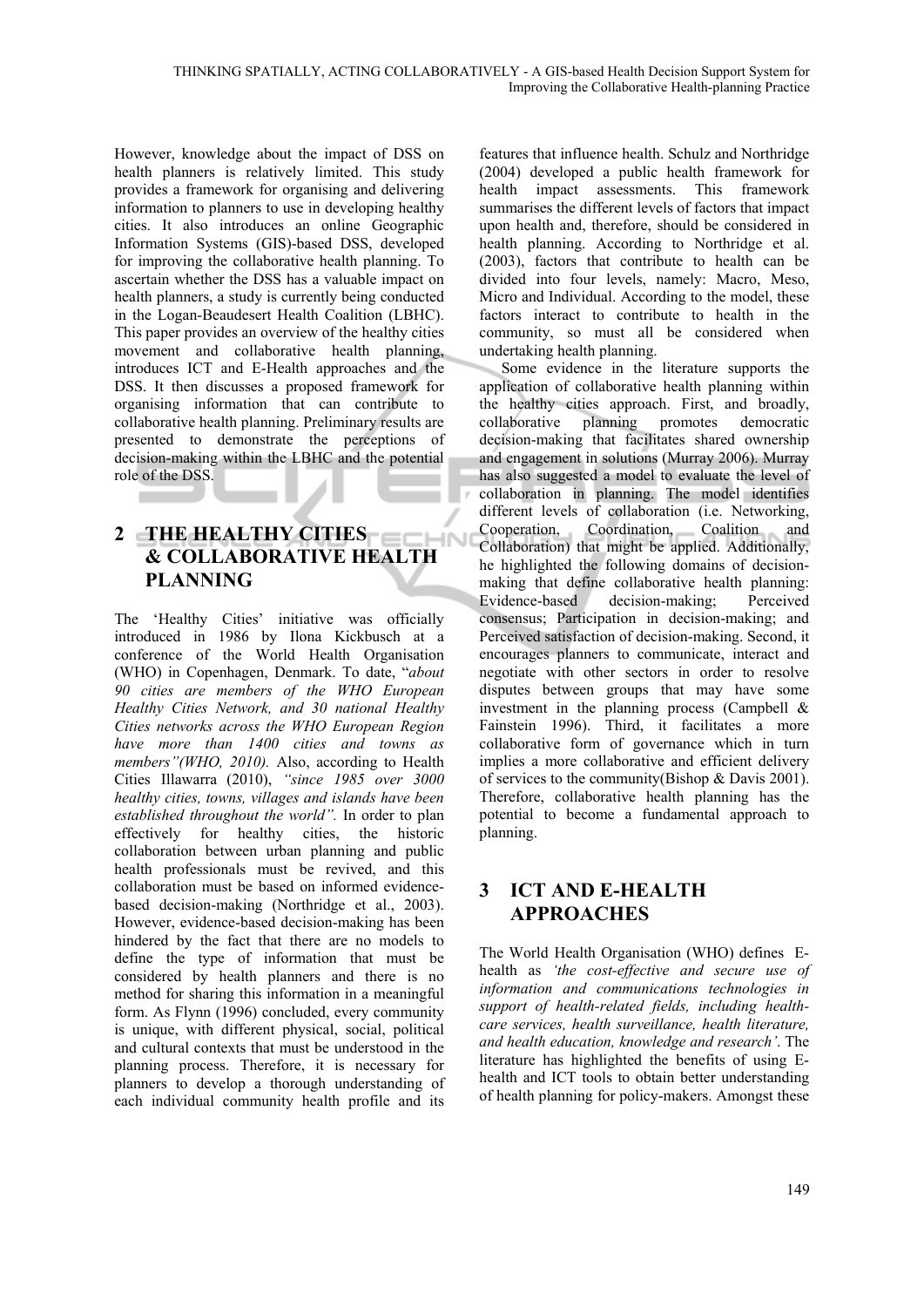However, knowledge about the impact of DSS on health planners is relatively limited. This study provides a framework for organising and delivering information to planners to use in developing healthy cities. It also introduces an online Geographic Information Systems (GIS)-based DSS, developed for improving the collaborative health planning. To ascertain whether the DSS has a valuable impact on health planners, a study is currently being conducted in the Logan-Beaudesert Health Coalition (LBHC). This paper provides an overview of the healthy cities movement and collaborative health planning, introduces ICT and E-Health approaches and the DSS. It then discusses a proposed framework for organising information that can contribute to collaborative health planning. Preliminary results are presented to demonstrate the perceptions of decision-making within the LBHC and the potential role of the DSS.

# **2 THE HEALTHY CITIES EXPLOSED AT A & COLLABORATIVE HEALTH PLANNING**

**Contractor** 

The 'Healthy Cities' initiative was officially introduced in 1986 by Ilona Kickbusch at a conference of the World Health Organisation (WHO) in Copenhagen, Denmark. To date, "*about 90 cities are members of the WHO European Healthy Cities Network, and 30 national Healthy Cities networks across the WHO European Region have more than 1400 cities and towns as members"(WHO, 2010).* Also, according to Health Cities Illawarra (2010), *"since 1985 over 3000 healthy cities, towns, villages and islands have been established throughout the world".* In order to plan effectively for healthy cities, the historic collaboration between urban planning and public health professionals must be revived, and this collaboration must be based on informed evidencebased decision-making (Northridge et al., 2003). However, evidence-based decision-making has been hindered by the fact that there are no models to define the type of information that must be considered by health planners and there is no method for sharing this information in a meaningful form. As Flynn (1996) concluded, every community is unique, with different physical, social, political and cultural contexts that must be understood in the planning process. Therefore, it is necessary for planners to develop a thorough understanding of each individual community health profile and its

features that influence health. Schulz and Northridge (2004) developed a public health framework for health impact assessments. This framework summarises the different levels of factors that impact upon health and, therefore, should be considered in health planning. According to Northridge et al. (2003), factors that contribute to health can be divided into four levels, namely: Macro, Meso, Micro and Individual. According to the model, these factors interact to contribute to health in the community, so must all be considered when undertaking health planning.

Some evidence in the literature supports the application of collaborative health planning within the healthy cities approach. First, and broadly, collaborative planning promotes democratic decision-making that facilitates shared ownership and engagement in solutions (Murray 2006). Murray has also suggested a model to evaluate the level of collaboration in planning. The model identifies different levels of collaboration (i.e. Networking, Cooperation, Coordination, Coalition and Collaboration) that might be applied. Additionally, he highlighted the following domains of decisionmaking that define collaborative health planning: Evidence-based decision-making; Perceived consensus; Participation in decision-making; and Perceived satisfaction of decision-making. Second, it encourages planners to communicate, interact and negotiate with other sectors in order to resolve disputes between groups that may have some investment in the planning process (Campbell & Fainstein 1996). Third, it facilitates a more collaborative form of governance which in turn implies a more collaborative and efficient delivery of services to the community(Bishop & Davis 2001). Therefore, collaborative health planning has the potential to become a fundamental approach to planning.

## **3 ICT AND E-HEALTH APPROACHES**

The World Health Organisation (WHO) defines Ehealth as *'the cost-effective and secure use of information and communications technologies in support of health-related fields, including healthcare services, health surveillance, health literature, and health education, knowledge and research'*. The literature has highlighted the benefits of using Ehealth and ICT tools to obtain better understanding of health planning for policy-makers. Amongst these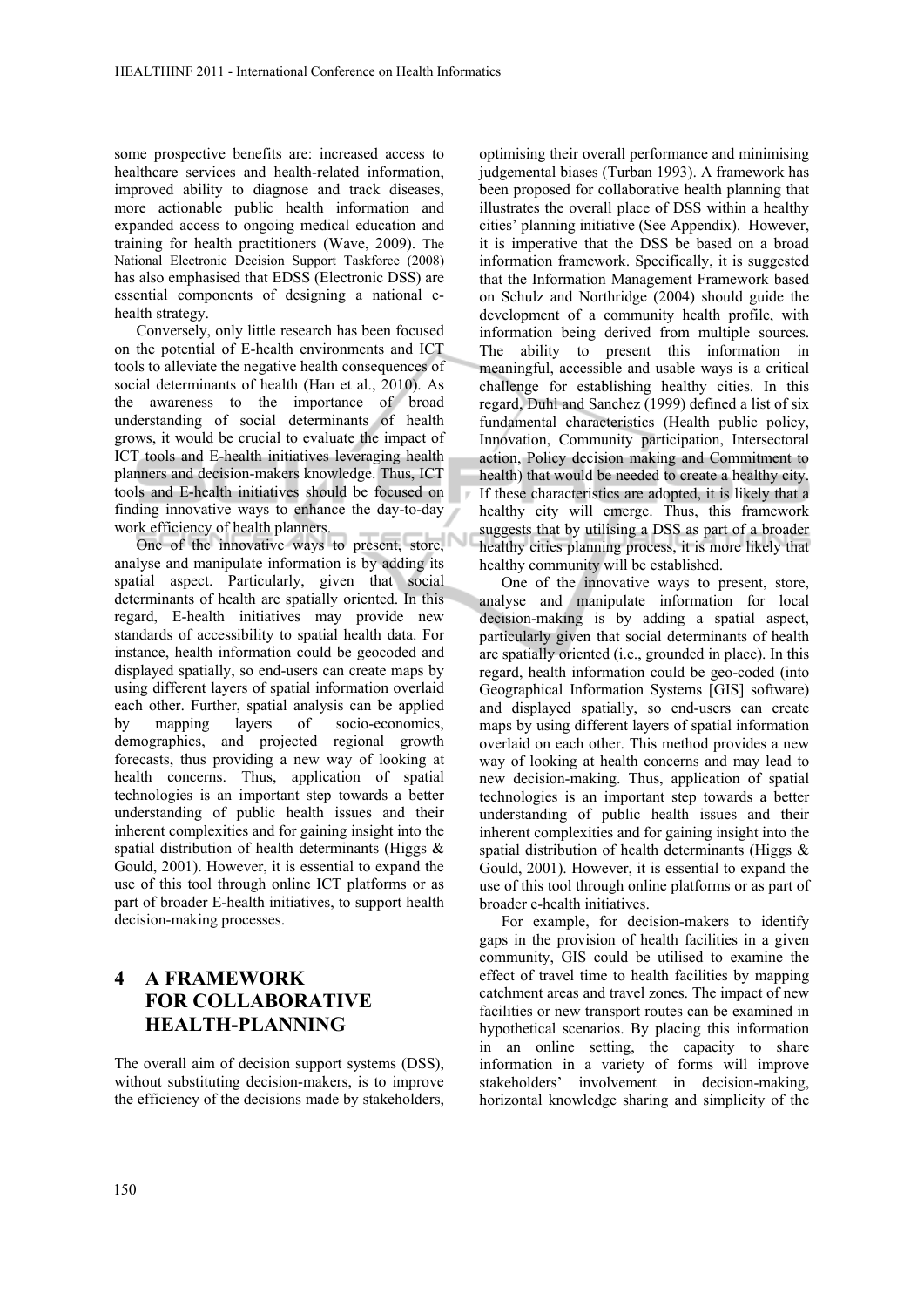some prospective benefits are: increased access to healthcare services and health-related information, improved ability to diagnose and track diseases, more actionable public health information and expanded access to ongoing medical education and training for health practitioners (Wave, 2009). The National Electronic Decision Support Taskforce (2008) has also emphasised that EDSS (Electronic DSS) are essential components of designing a national ehealth strategy.

Conversely, only little research has been focused on the potential of E-health environments and ICT tools to alleviate the negative health consequences of social determinants of health (Han et al., 2010). As the awareness to the importance of broad understanding of social determinants of health grows, it would be crucial to evaluate the impact of ICT tools and E-health initiatives leveraging health planners and decision-makers knowledge. Thus, ICT tools and E-health initiatives should be focused on finding innovative ways to enhance the day-to-day work efficiency of health planners.

One of the innovative ways to present, store, analyse and manipulate information is by adding its spatial aspect. Particularly, given that social determinants of health are spatially oriented. In this regard, E-health initiatives may provide new standards of accessibility to spatial health data. For instance, health information could be geocoded and displayed spatially, so end-users can create maps by using different layers of spatial information overlaid each other. Further, spatial analysis can be applied by mapping layers of socio-economics, demographics, and projected regional growth forecasts, thus providing a new way of looking at health concerns. Thus, application of spatial technologies is an important step towards a better understanding of public health issues and their inherent complexities and for gaining insight into the spatial distribution of health determinants (Higgs & Gould, 2001). However, it is essential to expand the use of this tool through online ICT platforms or as part of broader E-health initiatives, to support health decision-making processes.

## **4 A FRAMEWORK FOR COLLABORATIVE HEALTH-PLANNING**

The overall aim of decision support systems (DSS), without substituting decision-makers, is to improve the efficiency of the decisions made by stakeholders,

optimising their overall performance and minimising judgemental biases (Turban 1993). A framework has been proposed for collaborative health planning that illustrates the overall place of DSS within a healthy cities' planning initiative (See Appendix). However, it is imperative that the DSS be based on a broad information framework. Specifically, it is suggested that the Information Management Framework based on Schulz and Northridge (2004) should guide the development of a community health profile, with information being derived from multiple sources. The ability to present this information in meaningful, accessible and usable ways is a critical challenge for establishing healthy cities. In this regard, Duhl and Sanchez (1999) defined a list of six fundamental characteristics (Health public policy, Innovation, Community participation, Intersectoral action, Policy decision making and Commitment to health) that would be needed to create a healthy city. If these characteristics are adopted, it is likely that a healthy city will emerge. Thus, this framework suggests that by utilising a DSS as part of a broader healthy cities planning process, it is more likely that healthy community will be established.

One of the innovative ways to present, store, analyse and manipulate information for local decision-making is by adding a spatial aspect, particularly given that social determinants of health are spatially oriented (i.e., grounded in place). In this regard, health information could be geo-coded (into Geographical Information Systems [GIS] software) and displayed spatially, so end-users can create maps by using different layers of spatial information overlaid on each other. This method provides a new way of looking at health concerns and may lead to new decision-making. Thus, application of spatial technologies is an important step towards a better understanding of public health issues and their inherent complexities and for gaining insight into the spatial distribution of health determinants (Higgs & Gould, 2001). However, it is essential to expand the use of this tool through online platforms or as part of broader e-health initiatives.

For example, for decision-makers to identify gaps in the provision of health facilities in a given community, GIS could be utilised to examine the effect of travel time to health facilities by mapping catchment areas and travel zones. The impact of new facilities or new transport routes can be examined in hypothetical scenarios. By placing this information in an online setting, the capacity to share information in a variety of forms will improve stakeholders' involvement in decision-making, horizontal knowledge sharing and simplicity of the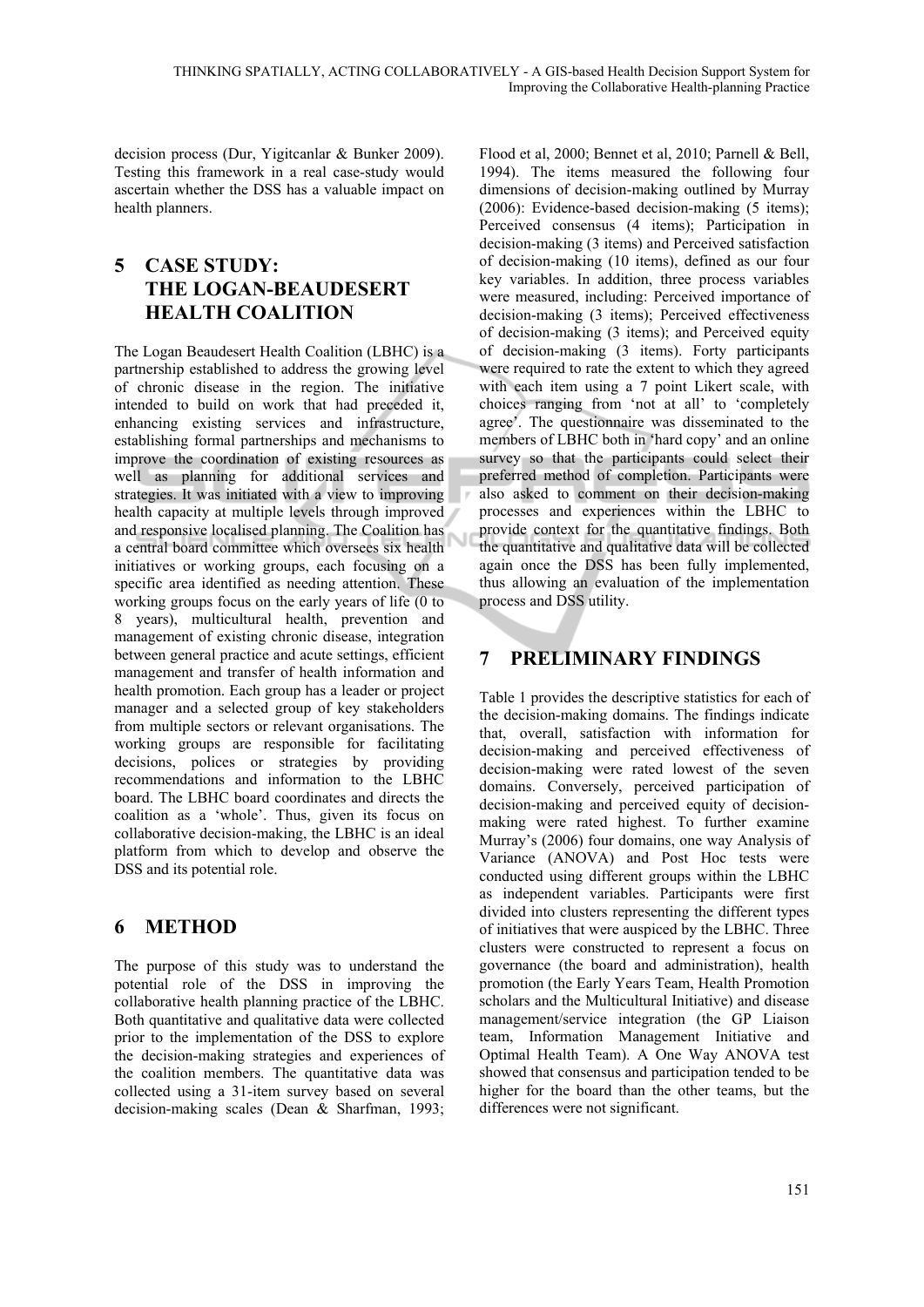decision process (Dur, Yigitcanlar & Bunker 2009). Testing this framework in a real case-study would ascertain whether the DSS has a valuable impact on health planners.

## **5 CASE STUDY: THE LOGAN-BEAUDESERT HEALTH COALITION**

The Logan Beaudesert Health Coalition (LBHC) is a partnership established to address the growing level of chronic disease in the region. The initiative intended to build on work that had preceded it, enhancing existing services and infrastructure, establishing formal partnerships and mechanisms to improve the coordination of existing resources as well as planning for additional services and strategies. It was initiated with a view to improving health capacity at multiple levels through improved and responsive localised planning. The Coalition has a central board committee which oversees six health initiatives or working groups, each focusing on a specific area identified as needing attention. These working groups focus on the early years of life (0 to 8 years), multicultural health, prevention and management of existing chronic disease, integration between general practice and acute settings, efficient management and transfer of health information and health promotion. Each group has a leader or project manager and a selected group of key stakeholders from multiple sectors or relevant organisations. The working groups are responsible for facilitating decisions, polices or strategies by providing recommendations and information to the LBHC board. The LBHC board coordinates and directs the coalition as a 'whole'. Thus, given its focus on collaborative decision-making, the LBHC is an ideal platform from which to develop and observe the DSS and its potential role.

# **6 METHOD**

The purpose of this study was to understand the potential role of the DSS in improving the collaborative health planning practice of the LBHC. Both quantitative and qualitative data were collected prior to the implementation of the DSS to explore the decision-making strategies and experiences of the coalition members. The quantitative data was collected using a 31-item survey based on several decision-making scales (Dean & Sharfman, 1993;

Flood et al, 2000; Bennet et al, 2010; Parnell & Bell, 1994). The items measured the following four dimensions of decision-making outlined by Murray (2006): Evidence-based decision-making (5 items); Perceived consensus (4 items); Participation in decision-making (3 items) and Perceived satisfaction of decision-making (10 items), defined as our four key variables. In addition, three process variables were measured, including: Perceived importance of decision-making (3 items); Perceived effectiveness of decision-making (3 items); and Perceived equity of decision-making (3 items). Forty participants were required to rate the extent to which they agreed with each item using a 7 point Likert scale, with choices ranging from 'not at all' to 'completely agree'. The questionnaire was disseminated to the members of LBHC both in 'hard copy' and an online survey so that the participants could select their preferred method of completion. Participants were also asked to comment on their decision-making processes and experiences within the LBHC to provide context for the quantitative findings. Both the quantitative and qualitative data will be collected again once the DSS has been fully implemented, thus allowing an evaluation of the implementation process and DSS utility.

## **7 PRELIMINARY FINDINGS**

Table 1 provides the descriptive statistics for each of the decision-making domains. The findings indicate that, overall, satisfaction with information for decision-making and perceived effectiveness of decision-making were rated lowest of the seven domains. Conversely, perceived participation of decision-making and perceived equity of decisionmaking were rated highest. To further examine Murray's (2006) four domains, one way Analysis of Variance (ANOVA) and Post Hoc tests were conducted using different groups within the LBHC as independent variables. Participants were first divided into clusters representing the different types of initiatives that were auspiced by the LBHC. Three clusters were constructed to represent a focus on governance (the board and administration), health promotion (the Early Years Team, Health Promotion scholars and the Multicultural Initiative) and disease management/service integration (the GP Liaison team, Information Management Initiative and Optimal Health Team). A One Way ANOVA test showed that consensus and participation tended to be higher for the board than the other teams, but the differences were not significant.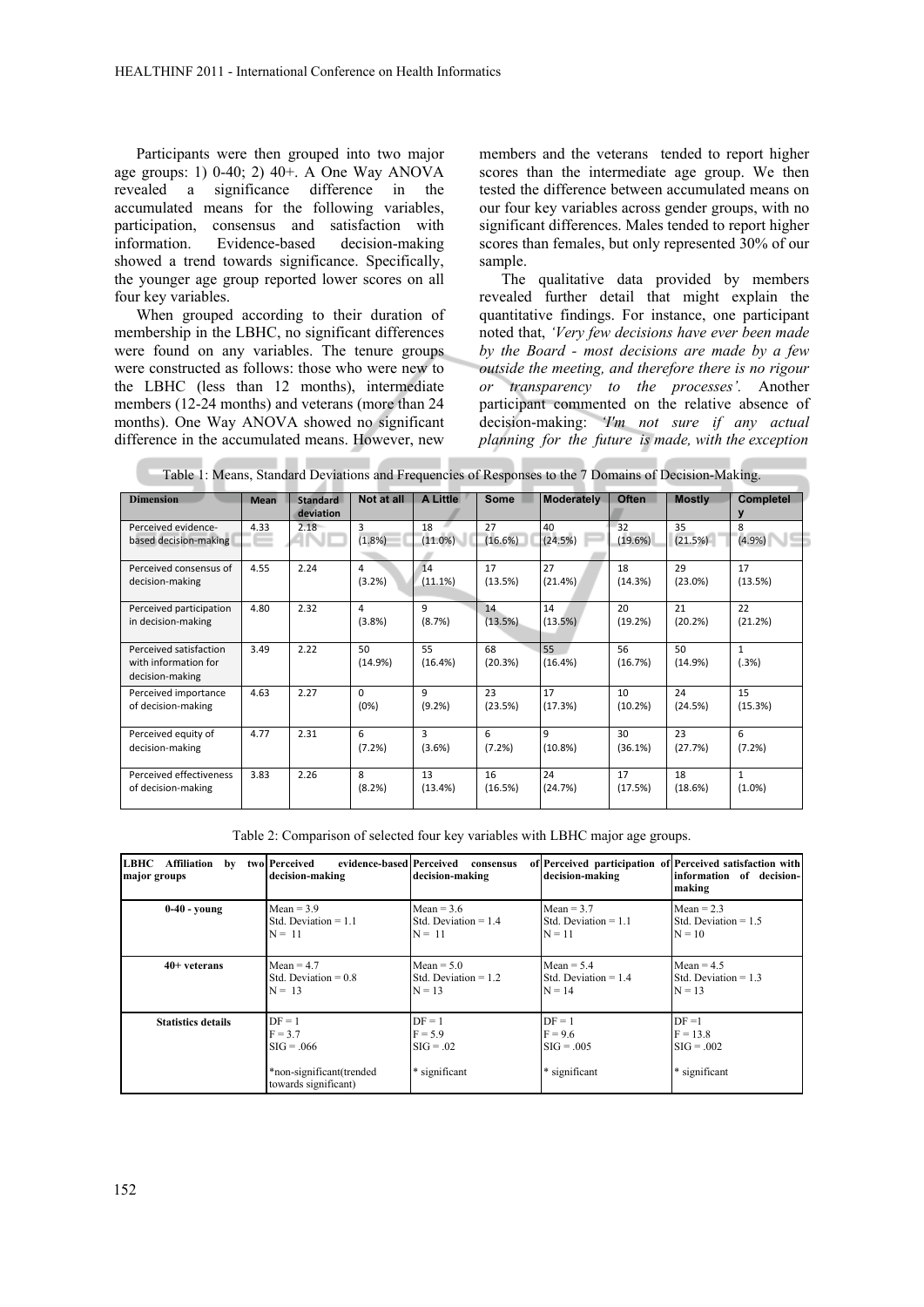Participants were then grouped into two major age groups: 1) 0-40; 2) 40+. A One Way ANOVA revealed a significance difference in the accumulated means for the following variables, participation, consensus and satisfaction with information. Evidence-based decision-making showed a trend towards significance. Specifically, the younger age group reported lower scores on all four key variables.

When grouped according to their duration of membership in the LBHC, no significant differences were found on any variables. The tenure groups were constructed as follows: those who were new to the LBHC (less than 12 months), intermediate members (12-24 months) and veterans (more than 24 months). One Way ANOVA showed no significant difference in the accumulated means. However, new

members and the veterans tended to report higher scores than the intermediate age group. We then tested the difference between accumulated means on our four key variables across gender groups, with no significant differences. Males tended to report higher scores than females, but only represented 30% of our sample.

The qualitative data provided by members revealed further detail that might explain the quantitative findings. For instance, one participant noted that, *'Very few decisions have ever been made by the Board - most decisions are made by a few outside the meeting, and therefore there is no rigour or transparency to the processes'.* Another participant commented on the relative absence of decision-making: *'I'm not sure if any actual planning for the future is made, with the exception*

| <b>Dimension</b>                                                  | <b>Mean</b> | <b>Standard</b><br>deviation | Not at all       | A Little      | Some          | Moderately    | <b>Often</b>  | <b>Mostly</b> | <b>Completel</b><br>ν     |
|-------------------------------------------------------------------|-------------|------------------------------|------------------|---------------|---------------|---------------|---------------|---------------|---------------------------|
| Perceived evidence-<br>based decision-making                      | 4.33        | 2.18                         | 3<br>(1.8%)      | 18<br>(11.0%) | 27<br>(16.6%) | 40<br>(24.5%) | 32<br>(19.6%) | 35<br>(21.5%) | 8<br>(4.9%)               |
| Perceived consensus of<br>decision-making                         | 4.55        | 2.24                         | 4<br>(3.2%)      | 14<br>(11.1%) | 17<br>(13.5%) | 27<br>(21.4%) | 18<br>(14.3%) | 29<br>(23.0%) | 17<br>(13.5%)             |
| Perceived participation<br>in decision-making                     | 4.80        | 2.32                         | 4<br>(3.8%)      | 9<br>(8.7%)   | 14<br>(13.5%) | 14<br>(13.5%) | 20<br>(19.2%) | 21<br>(20.2%) | 22<br>(21.2%)             |
| Perceived satisfaction<br>with information for<br>decision-making | 3.49        | 2.22                         | 50<br>(14.9%)    | 55<br>(16.4%) | 68<br>(20.3%) | 55<br>(16.4%) | 56<br>(16.7%) | 50<br>(14.9%) | $\mathbf{1}$<br>(.3%)     |
| Perceived importance<br>of decision-making                        | 4.63        | 2.27                         | $\Omega$<br>(0%) | 9<br>(9.2%)   | 23<br>(23.5%) | 17<br>(17.3%) | 10<br>(10.2%) | 24<br>(24.5%) | 15<br>(15.3%)             |
| Perceived equity of<br>decision-making                            | 4.77        | 2.31                         | 6<br>(7.2%)      | 3<br>(3.6%)   | 6<br>(7.2%)   | 9<br>(10.8%)  | 30<br>(36.1%) | 23<br>(27.7%) | 6<br>(7.2%)               |
| Perceived effectiveness<br>of decision-making                     | 3.83        | 2.26                         | 8<br>(8.2%)      | 13<br>(13.4%) | 16<br>(16.5%) | 24<br>(24.7%) | 17<br>(17.5%) | 18<br>(18.6%) | $\mathbf{1}$<br>$(1.0\%)$ |

Table 1: Means, Standard Deviations and Frequencies of Responses to the 7 Domains of Decision-Making.

Table 2: Comparison of selected four key variables with LBHC major age groups.

| LBHC Affiliation by two Perceived<br>major groups                                                                      | evidence-based Perceived<br>decision-making | consensus<br>decision-making                          | decision-making                                        | of Perceived participation of Perceived satisfaction with<br>information of decision-<br>making |  |
|------------------------------------------------------------------------------------------------------------------------|---------------------------------------------|-------------------------------------------------------|--------------------------------------------------------|-------------------------------------------------------------------------------------------------|--|
| $0-40$ - young                                                                                                         | $Mean = 3.9$                                | $Mean = 3.6$                                          | Mean = $3.7$                                           | $Mean = 2.3$                                                                                    |  |
|                                                                                                                        | Std. Deviation $= 1.1$                      | Std. Deviation $= 1.4$                                | Std. Deviation $= 1.1$                                 | Std. Deviation $= 1.5$                                                                          |  |
|                                                                                                                        | $N = 11$                                    | $N = 11$                                              | $N = 11$                                               | $N = 10$                                                                                        |  |
| $40+$ veterans                                                                                                         | $Mean = 4.7$                                | $Mean = 5.0$                                          | Mean = $5.4$                                           | $Mean = 4.5$                                                                                    |  |
|                                                                                                                        | Std. Deviation $= 0.8$                      | Std. Deviation $= 1.2$                                | Std. Deviation $= 1.4$                                 | Std. Deviation $= 1.3$                                                                          |  |
|                                                                                                                        | $N = 13$                                    | $N = 13$                                              | $N = 14$                                               | $N = 13$                                                                                        |  |
| $DF = 1$<br><b>Statistics details</b><br>$F = 3.7$<br>$SIG = .066$<br>*non-significant(trended<br>towards significant) |                                             | $DF = 1$<br>$F = 5.9$<br>$SIG = .02$<br>* significant | $DF = 1$<br>$F = 9.6$<br>$SIG = .005$<br>* significant | $DF = 1$<br>$F = 13.8$<br>$SIG = .002$<br>* significant                                         |  |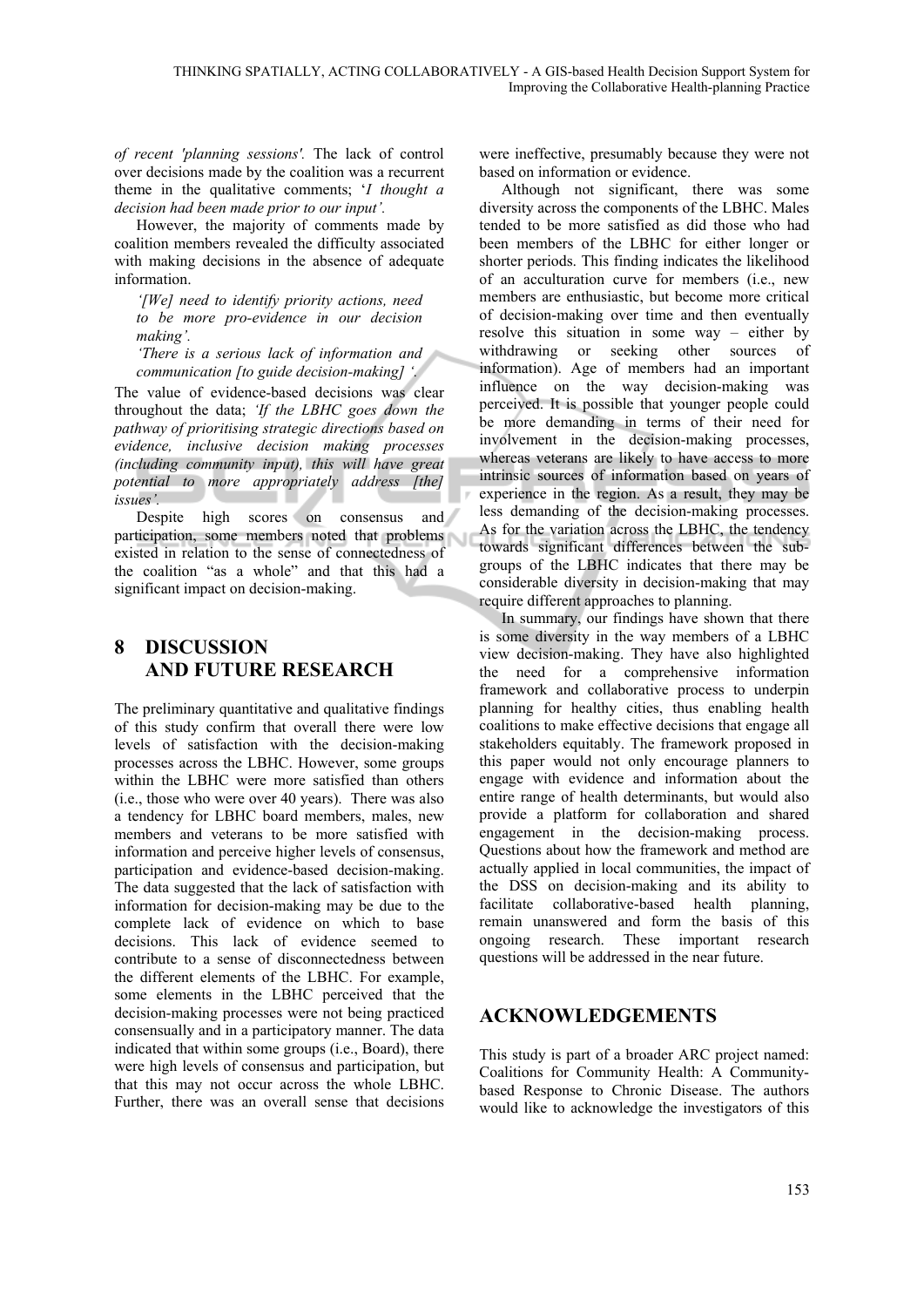*of recent 'planning sessions'.* The lack of control over decisions made by the coalition was a recurrent theme in the qualitative comments; '*I thought a decision had been made prior to our input'.*

However, the majority of comments made by coalition members revealed the difficulty associated with making decisions in the absence of adequate information.

*'[We] need to identify priority actions, need to be more pro-evidence in our decision making'.* 

*'There is a serious lack of information and communication [to guide decision-making] '.* 

The value of evidence-based decisions was clear throughout the data; *'If the LBHC goes down the pathway of prioritising strategic directions based on evidence, inclusive decision making processes (including community input), this will have great potential to more appropriately address [the] issues'.* 

Despite high scores on consensus and participation, some members noted that problems existed in relation to the sense of connectedness of the coalition "as a whole" and that this had a significant impact on decision-making.

## **8 DISCUSSION AND FUTURE RESEARCH**

The preliminary quantitative and qualitative findings of this study confirm that overall there were low levels of satisfaction with the decision-making processes across the LBHC. However, some groups within the LBHC were more satisfied than others (i.e., those who were over 40 years). There was also a tendency for LBHC board members, males, new members and veterans to be more satisfied with information and perceive higher levels of consensus, participation and evidence-based decision-making. The data suggested that the lack of satisfaction with information for decision-making may be due to the complete lack of evidence on which to base decisions. This lack of evidence seemed to contribute to a sense of disconnectedness between the different elements of the LBHC. For example, some elements in the LBHC perceived that the decision-making processes were not being practiced consensually and in a participatory manner. The data indicated that within some groups (i.e., Board), there were high levels of consensus and participation, but that this may not occur across the whole LBHC. Further, there was an overall sense that decisions

were ineffective, presumably because they were not based on information or evidence.

Although not significant, there was some diversity across the components of the LBHC. Males tended to be more satisfied as did those who had been members of the LBHC for either longer or shorter periods. This finding indicates the likelihood of an acculturation curve for members (i.e., new members are enthusiastic, but become more critical of decision-making over time and then eventually resolve this situation in some way – either by withdrawing or seeking other sources of information). Age of members had an important influence on the way decision-making was perceived. It is possible that younger people could be more demanding in terms of their need for involvement in the decision-making processes, whereas veterans are likely to have access to more intrinsic sources of information based on years of experience in the region. As a result, they may be less demanding of the decision-making processes. As for the variation across the LBHC, the tendency towards significant differences between the subgroups of the LBHC indicates that there may be considerable diversity in decision-making that may require different approaches to planning.

In summary, our findings have shown that there is some diversity in the way members of a LBHC view decision-making. They have also highlighted the need for a comprehensive information framework and collaborative process to underpin planning for healthy cities, thus enabling health coalitions to make effective decisions that engage all stakeholders equitably. The framework proposed in this paper would not only encourage planners to engage with evidence and information about the entire range of health determinants, but would also provide a platform for collaboration and shared engagement in the decision-making process. Questions about how the framework and method are actually applied in local communities, the impact of the DSS on decision-making and its ability to facilitate collaborative-based health planning, remain unanswered and form the basis of this ongoing research. These important research questions will be addressed in the near future.

### **ACKNOWLEDGEMENTS**

This study is part of a broader ARC project named: Coalitions for Community Health: A Communitybased Response to Chronic Disease. The authors would like to acknowledge the investigators of this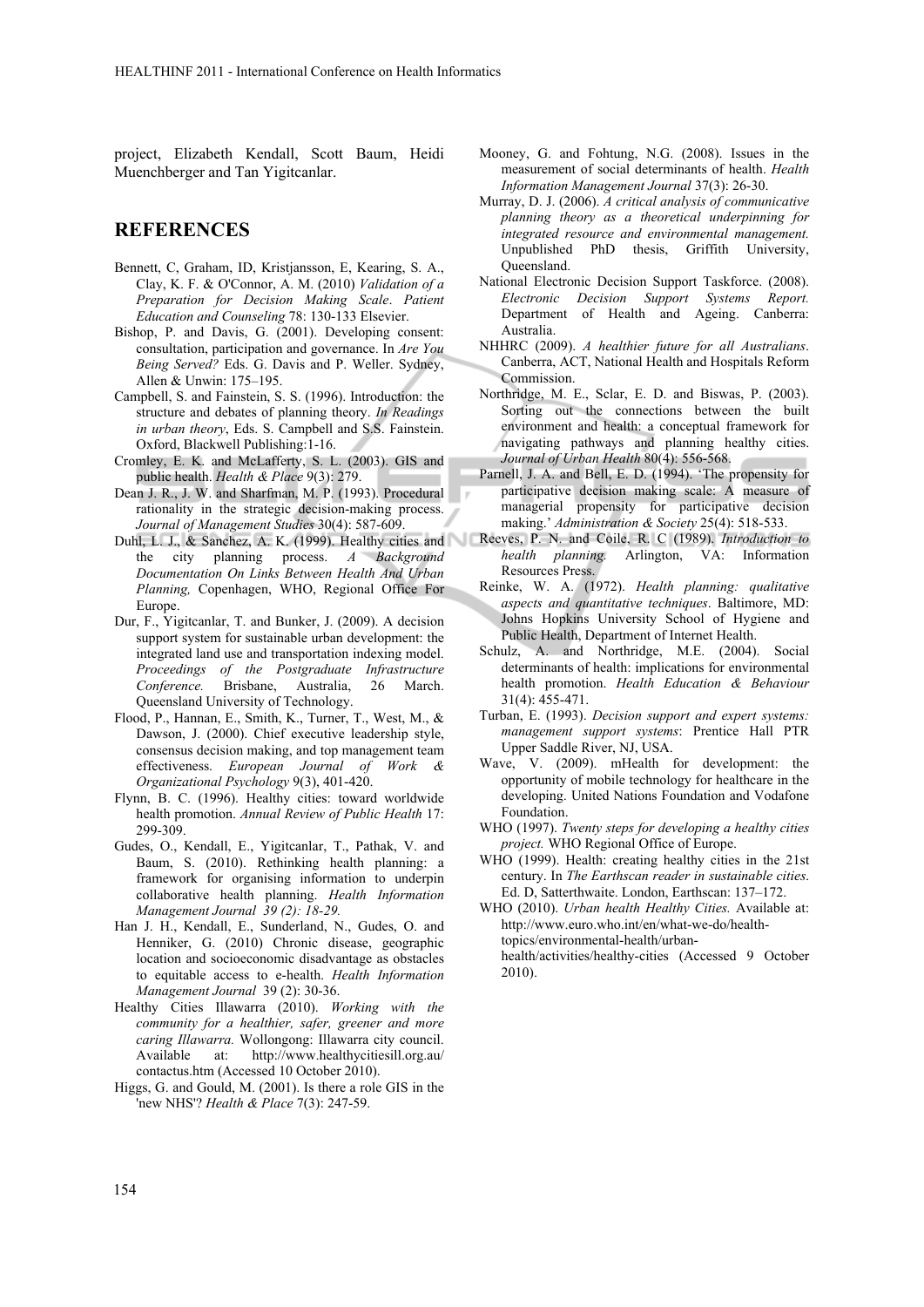project, Elizabeth Kendall, Scott Baum, Heidi Muenchberger and Tan Yigitcanlar.

#### **REFERENCES**

- Bennett, C, Graham, ID, Kristjansson, E, Kearing, S. A., Clay, K. F. & O'Connor, A. M. (2010) *Validation of a Preparation for Decision Making Scale*. *Patient Education and Counseling* 78: 130-133 Elsevier.
- Bishop, P. and Davis, G. (2001). Developing consent: consultation, participation and governance. In *Are You Being Served?* Eds. G. Davis and P. Weller. Sydney, Allen & Unwin: 175–195.
- Campbell, S. and Fainstein, S. S. (1996). Introduction: the structure and debates of planning theory. *In Readings in urban theory*, Eds. S. Campbell and S.S. Fainstein. Oxford, Blackwell Publishing:1-16.
- Cromley, E. K. and McLafferty, S. L. (2003). GIS and public health. *Health & Place* 9(3): 279.
- Dean J. R., J. W. and Sharfman, M. P. (1993). Procedural rationality in the strategic decision-making process. *Journal of Management Studies* 30(4): 587-609.
- Duhl, L. J., & Sanchez, A. K. (1999). Healthy cities and the city planning process. *A Background Documentation On Links Between Health And Urban Planning,* Copenhagen, WHO, Regional Office For Europe.
- Dur, F., Yigitcanlar, T. and Bunker, J. (2009). A decision support system for sustainable urban development: the integrated land use and transportation indexing model. *Proceedings of the Postgraduate Infrastructure Conference.* Brisbane, Australia, 26 March. Queensland University of Technology.
- Flood, P., Hannan, E., Smith, K., Turner, T., West, M., & Dawson, J. (2000). Chief executive leadership style, consensus decision making, and top management team effectiveness. *European Journal of Work & Organizational Psychology* 9(3), 401-420.
- Flynn, B. C. (1996). Healthy cities: toward worldwide health promotion. *Annual Review of Public Health* 17: 299-309.
- Gudes, O., Kendall, E., Yigitcanlar, T., Pathak, V. and Baum, S. (2010). Rethinking health planning: a framework for organising information to underpin collaborative health planning. *Health Information Management Journal 39 (2): 18-29.*
- Han J. H., Kendall, E., Sunderland, N., Gudes, O. and Henniker, G. (2010) Chronic disease, geographic location and socioeconomic disadvantage as obstacles to equitable access to e-health. *Health Information Management Journal* 39 (2): 30-36.
- Healthy Cities Illawarra (2010). *Working with the community for a healthier, safer, greener and more caring Illawarra.* Wollongong: Illawarra city council. Available at: http://www.healthycitiesill.org.au/ contactus.htm (Accessed 10 October 2010).
- Higgs, G. and Gould, M. (2001). Is there a role GIS in the 'new NHS'? *Health & Place* 7(3): 247-59.
- Mooney, G. and Fohtung, N.G. (2008). Issues in the measurement of social determinants of health. *Health Information Management Journal* 37(3): 26-30.
- Murray, D. J. (2006). *A critical analysis of communicative planning theory as a theoretical underpinning for integrated resource and environmental management.* Unpublished PhD thesis, Griffith University, Queensland.
- National Electronic Decision Support Taskforce. (2008). *Electronic Decision Support Systems Report.* Department of Health and Ageing. Canberra: Australia.
- NHHRC (2009). *A healthier future for all Australians*. Canberra, ACT, National Health and Hospitals Reform Commission.
- Northridge, M. E., Sclar, E. D. and Biswas, P. (2003). Sorting out the connections between the built environment and health: a conceptual framework for navigating pathways and planning healthy cities. *Journal of Urban Health* 80(4): 556-568.
- Parnell, J. A. and Bell, E. D. (1994). 'The propensity for participative decision making scale: A measure of managerial propensity for participative decision making.' *Administration & Society* 25(4): 518-533.
- Reeves, P. N. and Coile, R. C (1989). *Introduction to health planning.* Arlington, VA: Information Resources Press.
- Reinke, W. A. (1972). *Health planning: qualitative aspects and quantitative techniques*. Baltimore, MD: Johns Hopkins University School of Hygiene and Public Health, Department of Internet Health.
- Schulz, A. and Northridge, M.E. (2004). Social determinants of health: implications for environmental health promotion. *Health Education & Behaviour* 31(4): 455-471.
- Turban, E. (1993). *Decision support and expert systems: management support systems*: Prentice Hall PTR Upper Saddle River, NJ, USA.
- Wave, V. (2009). mHealth for development: the opportunity of mobile technology for healthcare in the developing. United Nations Foundation and Vodafone Foundation.
- WHO (1997). *Twenty steps for developing a healthy cities project.* WHO Regional Office of Europe.
- WHO (1999). Health: creating healthy cities in the 21st century. In *The Earthscan reader in sustainable cities*. Ed. D, Satterthwaite. London, Earthscan: 137–172.
- WHO (2010). *Urban health Healthy Cities.* Available at: http://www.euro.who.int/en/what-we-do/healthtopics/environmental-health/urban
	- health/activities/healthy-cities (Accessed 9 October 2010).